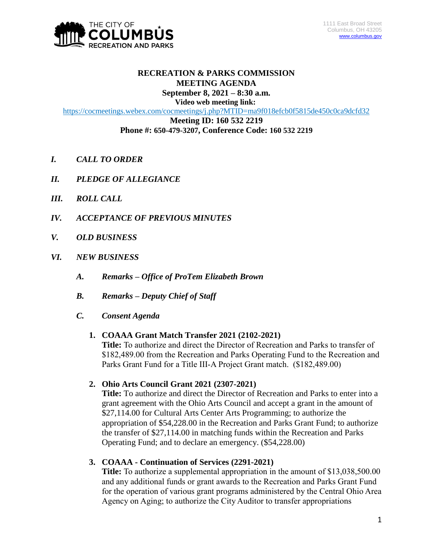

#### **RECREATION & PARKS COMMISSION MEETING AGENDA September 8, 2021 – 8:30 a.m.**

**Video web meeting link:**

<https://cocmeetings.webex.com/cocmeetings/j.php?MTID=ma9f018efcb0f5815de450c0ca9dcfd32>

**Meeting ID: 160 532 2219 Phone #: 650-479-3207, Conference Code: 160 532 2219**

- *I. CALL TO ORDER*
- *II. PLEDGE OF ALLEGIANCE*
- *III. ROLL CALL*
- *IV. ACCEPTANCE OF PREVIOUS MINUTES*
- *V. OLD BUSINESS*
- *VI. NEW BUSINESS*
	- *A. Remarks – Office of ProTem Elizabeth Brown*
	- *B. Remarks – Deputy Chief of Staff*
	- *C. Consent Agenda*

### **1. COAAA Grant Match Transfer 2021 (2102-2021)**

**Title:** To authorize and direct the Director of Recreation and Parks to transfer of \$182,489.00 from the Recreation and Parks Operating Fund to the Recreation and Parks Grant Fund for a Title III-A Project Grant match. (\$182,489.00)

# **2. Ohio Arts Council Grant 2021 (2307-2021)**

**Title:** To authorize and direct the Director of Recreation and Parks to enter into a grant agreement with the Ohio Arts Council and accept a grant in the amount of \$27,114.00 for Cultural Arts Center Arts Programming; to authorize the appropriation of \$54,228.00 in the Recreation and Parks Grant Fund; to authorize the transfer of \$27,114.00 in matching funds within the Recreation and Parks Operating Fund; and to declare an emergency. (\$54,228.00)

**3. COAAA - Continuation of Services (2291-2021)**

**Title:** To authorize a supplemental appropriation in the amount of \$13,038,500.00 and any additional funds or grant awards to the Recreation and Parks Grant Fund for the operation of various grant programs administered by the Central Ohio Area Agency on Aging; to authorize the City Auditor to transfer appropriations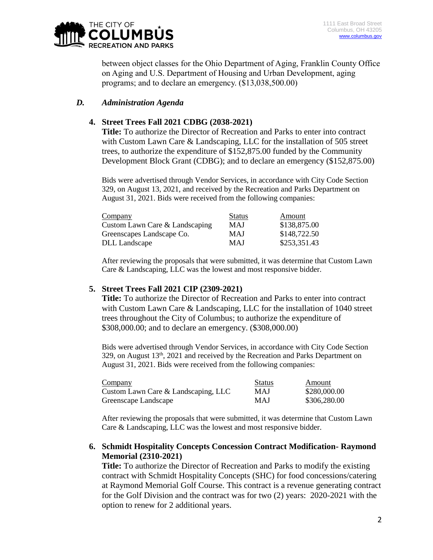

between object classes for the Ohio Department of Aging, Franklin County Office on Aging and U.S. Department of Housing and Urban Development, aging programs; and to declare an emergency. (\$13,038,500.00)

## *D. Administration Agenda*

## **4. Street Trees Fall 2021 CDBG (2038-2021)**

**Title:** To authorize the Director of Recreation and Parks to enter into contract with Custom Lawn Care & Landscaping, LLC for the installation of 505 street trees, to authorize the expenditure of \$152,875.00 funded by the Community Development Block Grant (CDBG); and to declare an emergency (\$152,875.00)

Bids were advertised through Vendor Services, in accordance with City Code Section 329, on August 13, 2021, and received by the Recreation and Parks Department on August 31, 2021. Bids were received from the following companies:

| Company                        | <b>Status</b> | Amount       |
|--------------------------------|---------------|--------------|
| Custom Lawn Care & Landscaping | <b>MAJ</b>    | \$138,875.00 |
| Greenscapes Landscape Co.      | MAJ           | \$148,722.50 |
| DLL Landscape                  | <b>MAJ</b>    | \$253,351.43 |

After reviewing the proposals that were submitted, it was determine that Custom Lawn Care & Landscaping, LLC was the lowest and most responsive bidder.

### **5. Street Trees Fall 2021 CIP (2309-2021)**

**Title:** To authorize the Director of Recreation and Parks to enter into contract with Custom Lawn Care & Landscaping, LLC for the installation of 1040 street trees throughout the City of Columbus; to authorize the expenditure of \$308,000.00; and to declare an emergency. (\$308,000.00)

Bids were advertised through Vendor Services, in accordance with City Code Section 329, on August 13<sup>th</sup>, 2021 and received by the Recreation and Parks Department on August 31, 2021. Bids were received from the following companies:

| Company                             | <b>Status</b> | Amount       |
|-------------------------------------|---------------|--------------|
| Custom Lawn Care & Landscaping, LLC | MAJ           | \$280,000.00 |
| Greenscape Landscape                | <b>MAJ</b>    | \$306,280.00 |

After reviewing the proposals that were submitted, it was determine that Custom Lawn Care & Landscaping, LLC was the lowest and most responsive bidder.

### **6. Schmidt Hospitality Concepts Concession Contract Modification- Raymond Memorial (2310-2021)**

**Title:** To authorize the Director of Recreation and Parks to modify the existing contract with Schmidt Hospitality Concepts (SHC) for food concessions/catering at Raymond Memorial Golf Course. This contract is a revenue generating contract for the Golf Division and the contract was for two (2) years: 2020-2021 with the option to renew for 2 additional years.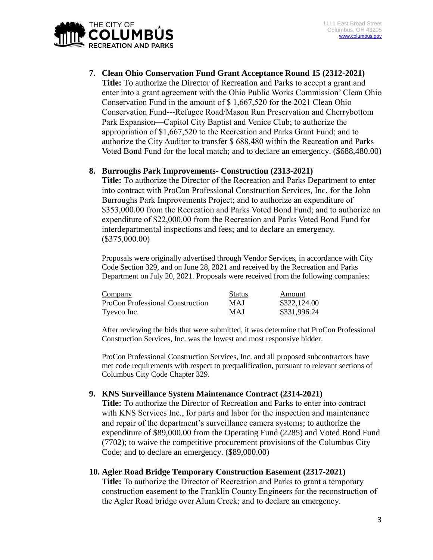

**7. Clean Ohio Conservation Fund Grant Acceptance Round 15 (2312-2021) Title:** To authorize the Director of Recreation and Parks to accept a grant and enter into a grant agreement with the Ohio Public Works Commission' Clean Ohio Conservation Fund in the amount of \$ 1,667,520 for the 2021 Clean Ohio Conservation Fund---Refugee Road/Mason Run Preservation and Cherrybottom Park Expansion—Capitol City Baptist and Venice Club; to authorize the appropriation of \$1,667,520 to the Recreation and Parks Grant Fund; and to authorize the City Auditor to transfer \$ 688,480 within the Recreation and Parks Voted Bond Fund for the local match; and to declare an emergency. (\$688,480.00)

### **8. Burroughs Park Improvements- Construction (2313-2021)**

**Title:** To authorize the Director of the Recreation and Parks Department to enter into contract with ProCon Professional Construction Services, Inc. for the John Burroughs Park Improvements Project; and to authorize an expenditure of \$353,000.00 from the Recreation and Parks Voted Bond Fund; and to authorize an expenditure of \$22,000.00 from the Recreation and Parks Voted Bond Fund for interdepartmental inspections and fees; and to declare an emergency. (\$375,000.00)

Proposals were originally advertised through Vendor Services, in accordance with City Code Section 329, and on June 28, 2021 and received by the Recreation and Parks Department on July 20, 2021. Proposals were received from the following companies:

| Company                          | <b>Status</b> | Amount       |
|----------------------------------|---------------|--------------|
| ProCon Professional Construction | <b>MAJ</b>    | \$322,124.00 |
| Tyevco Inc.                      | <b>MAJ</b>    | \$331,996.24 |

After reviewing the bids that were submitted, it was determine that ProCon Professional Construction Services, Inc. was the lowest and most responsive bidder.

ProCon Professional Construction Services, Inc. and all proposed subcontractors have met code requirements with respect to prequalification, pursuant to relevant sections of Columbus City Code Chapter 329.

### **9. KNS Surveillance System Maintenance Contract (2314-2021)**

**Title:** To authorize the Director of Recreation and Parks to enter into contract with KNS Services Inc., for parts and labor for the inspection and maintenance and repair of the department's surveillance camera systems; to authorize the expenditure of \$89,000.00 from the Operating Fund (2285) and Voted Bond Fund (7702); to waive the competitive procurement provisions of the Columbus City Code; and to declare an emergency. (\$89,000.00)

### **10. Agler Road Bridge Temporary Construction Easement (2317-2021)**

**Title:** To authorize the Director of Recreation and Parks to grant a temporary construction easement to the Franklin County Engineers for the reconstruction of the Agler Road bridge over Alum Creek; and to declare an emergency.